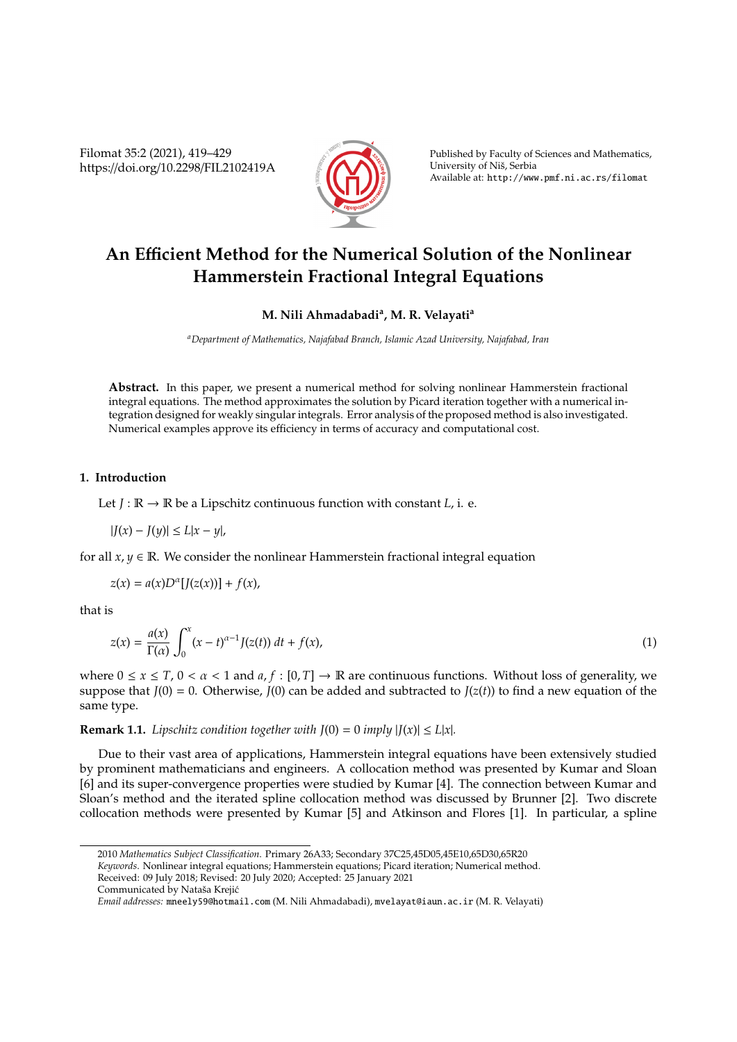Filomat 35:2 (2021), 419–429 https://doi.org/10.2298/FIL2102419A



Published by Faculty of Sciences and Mathematics, University of Niš, Serbia Available at: http://www.pmf.ni.ac.rs/filomat

# **An E**ffi**cient Method for the Numerical Solution of the Nonlinear Hammerstein Fractional Integral Equations**

# **M. Nili Ahmadabadi<sup>a</sup> , M. R. Velayati<sup>a</sup>**

*<sup>a</sup>Department of Mathematics, Najafabad Branch, Islamic Azad University, Najafabad, Iran*

**Abstract.** In this paper, we present a numerical method for solving nonlinear Hammerstein fractional integral equations. The method approximates the solution by Picard iteration together with a numerical integration designed for weakly singular integrals. Error analysis of the proposed method is also investigated. Numerical examples approve its efficiency in terms of accuracy and computational cost.

#### **1. Introduction**

Let  $J : \mathbb{R} \to \mathbb{R}$  be a Lipschitz continuous function with constant  $L$ , i. e.

$$
|J(x) - J(y)| \le L|x - y|,
$$

for all  $x, y \in \mathbb{R}$ . We consider the nonlinear Hammerstein fractional integral equation

$$
z(x) = a(x)D^{\alpha}[J(z(x))] + f(x),
$$

that is

$$
z(x) = \frac{a(x)}{\Gamma(\alpha)} \int_0^x (x - t)^{\alpha - 1} J(z(t)) dt + f(x),
$$
\n(1)

where  $0 \le x \le T$ ,  $0 < \alpha < 1$  and  $a, f : [0, T] \to \mathbb{R}$  are continuous functions. Without loss of generality, we suppose that  $J(0) = 0$ . Otherwise,  $J(0)$  can be added and subtracted to  $J(z(t))$  to find a new equation of the same type.

**Remark 1.1.** *Lipschitz condition together with*  $J(0) = 0$  *imply*  $|J(x)| \le L|x|$ *.* 

Due to their vast area of applications, Hammerstein integral equations have been extensively studied by prominent mathematicians and engineers. A collocation method was presented by Kumar and Sloan [6] and its super-convergence properties were studied by Kumar [4]. The connection between Kumar and Sloan's method and the iterated spline collocation method was discussed by Brunner [2]. Two discrete collocation methods were presented by Kumar [5] and Atkinson and Flores [1]. In particular, a spline

<sup>2010</sup> *Mathematics Subject Classification*. Primary 26A33; Secondary 37C25,45D05,45E10,65D30,65R20

*Keywords*. Nonlinear integral equations; Hammerstein equations; Picard iteration; Numerical method.

Received: 09 July 2018; Revised: 20 July 2020; Accepted: 25 January 2021

Communicated by Nataša Krejić

*Email addresses:* mneely59@hotmail.com (M. Nili Ahmadabadi), mvelayat@iaun.ac.ir (M. R. Velayati)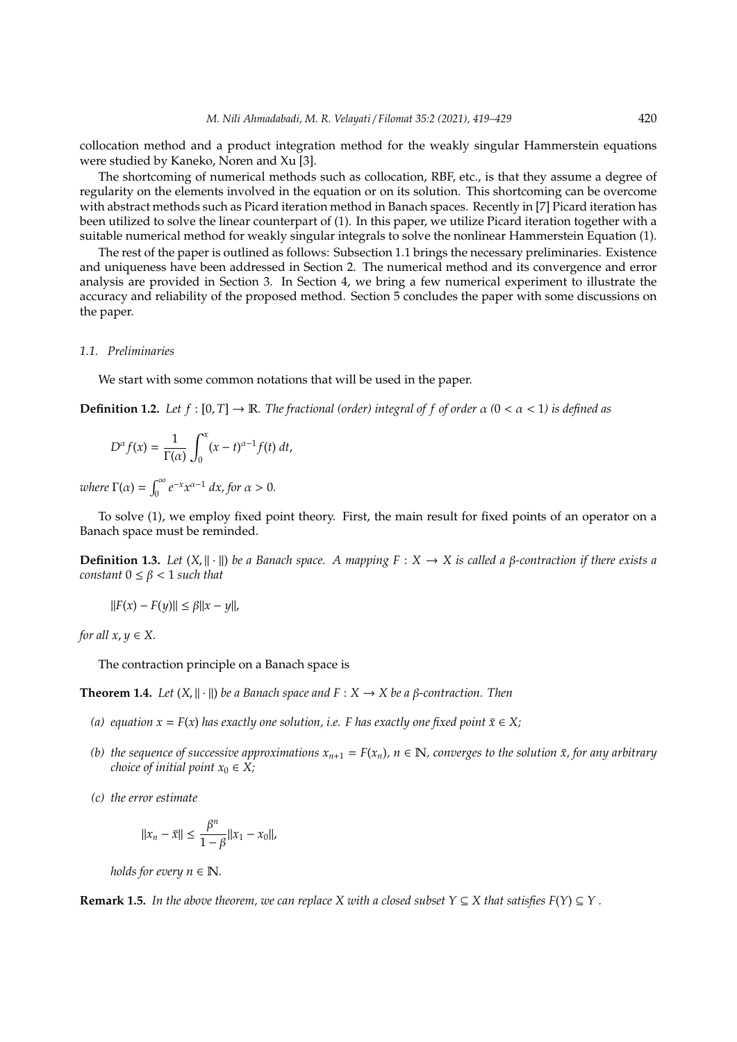collocation method and a product integration method for the weakly singular Hammerstein equations were studied by Kaneko, Noren and Xu [3].

The shortcoming of numerical methods such as collocation, RBF, etc., is that they assume a degree of regularity on the elements involved in the equation or on its solution. This shortcoming can be overcome with abstract methods such as Picard iteration method in Banach spaces. Recently in [7] Picard iteration has been utilized to solve the linear counterpart of (1). In this paper, we utilize Picard iteration together with a suitable numerical method for weakly singular integrals to solve the nonlinear Hammerstein Equation (1).

The rest of the paper is outlined as follows: Subsection 1.1 brings the necessary preliminaries. Existence and uniqueness have been addressed in Section 2. The numerical method and its convergence and error analysis are provided in Section 3. In Section 4, we bring a few numerical experiment to illustrate the accuracy and reliability of the proposed method. Section 5 concludes the paper with some discussions on the paper.

## *1.1. Preliminaries*

We start with some common notations that will be used in the paper.

**Definition 1.2.** *Let*  $f : [0, T] \to \mathbb{R}$ *. The fractional (order) integral of*  $f$  *of order*  $\alpha$  ( $0 < \alpha < 1$ ) *is defined as* 

$$
D^{\alpha} f(x) = \frac{1}{\Gamma(\alpha)} \int_0^x (x - t)^{\alpha - 1} f(t) dt,
$$

*where*  $\Gamma(\alpha) = \int_0^\infty e^{-x} x^{\alpha-1} dx$ , for  $\alpha > 0$ .

To solve (1), we employ fixed point theory. First, the main result for fixed points of an operator on a Banach space must be reminded.

**Definition 1.3.** *Let*  $(X, \| \cdot \|)$  *be a Banach space. A mapping*  $F : X \to X$  *is called a β-contraction if there exists a constant*  $0 \leq \beta < 1$  *such that* 

$$
||F(x) - F(y)|| \le \beta ||x - y||,
$$

*for all*  $x, y \in X$ .

The contraction principle on a Banach space is

**Theorem 1.4.** *Let*  $(X, \|\cdot\|)$  *be a Banach space and*  $F : X \to X$  *be a β-contraction. Then* 

- *(a)* equation  $x = F(x)$  has exactly one solution, i.e. F has exactly one fixed point  $\bar{x} \in X$ ;
- *(b) the sequence of successive approximations*  $x_{n+1} = F(x_n)$ ,  $n \in \mathbb{N}$ , converges to the solution  $\bar{x}$ , for any arbitrary *choice of initial point*  $x_0 \in X$ *;*
- *(c) the error estimate*

$$
||x_n - \bar{x}|| \le \frac{\beta^n}{1 - \beta} ||x_1 - x_0||,
$$

*holds for every*  $n \in \mathbb{N}$ *.* 

**Remark 1.5.** *In the above theorem, we can replace X with a closed subset*  $Y \subseteq X$  *that satisfies*  $F(Y) \subseteq Y$ *.*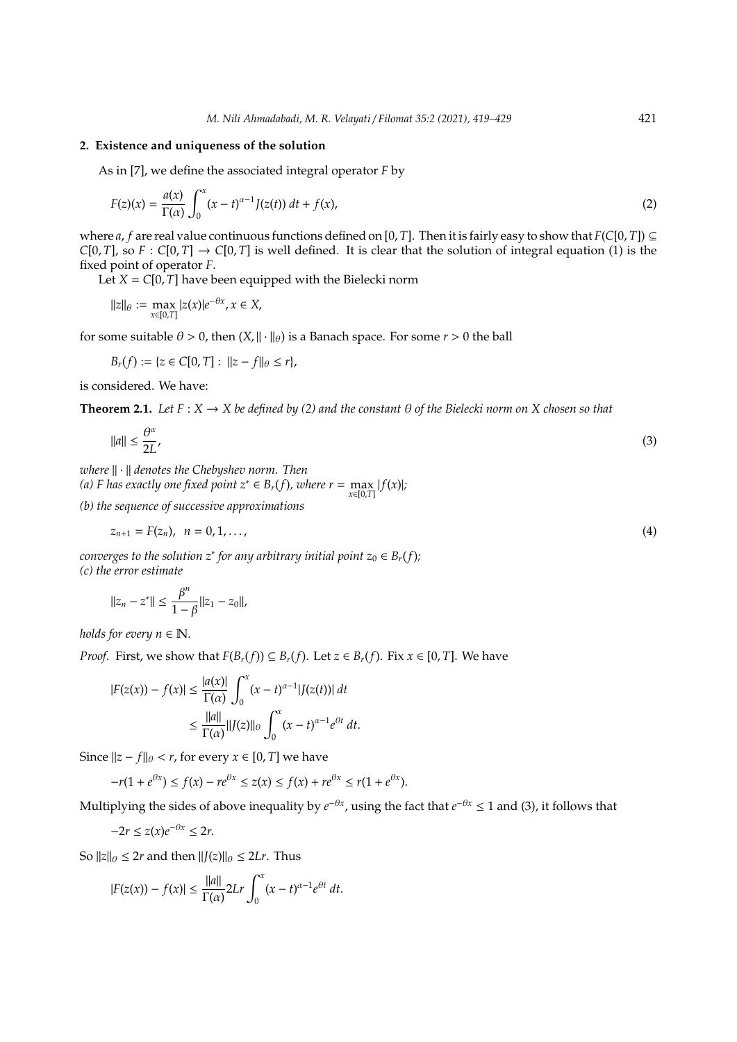# **2. Existence and uniqueness of the solution**

As in [7], we define the associated integral operator *F* by

$$
F(z)(x) = \frac{a(x)}{\Gamma(\alpha)} \int_0^x (x - t)^{\alpha - 1} J(z(t)) dt + f(x),
$$
\n(2)

where *a*, *f* are real value continuous functions defined on [0, *T*]. Then it is fairly easy to show that  $F(C[0, T]) \subseteq$ *C*[0, *T*], so *F* : *C*[0, *T*]  $\rightarrow$  *C*[0, *T*] is well defined. It is clear that the solution of integral equation (1) is the fixed point of operator *F*.

Let  $X = C[0, T]$  have been equipped with the Bielecki norm

$$
||z||_{\theta} := \max_{x \in [0,T]} |z(x)|e^{-\theta x}, x \in X,
$$

for some suitable  $\theta > 0$ , then  $(X, \|\cdot\|_{\theta})$  is a Banach space. For some  $r > 0$  the ball

$$
B_r(f) := \{ z \in C[0,T] : ||z - f||_{\theta} \le r \},\
$$

is considered. We have:

**Theorem 2.1.** *Let*  $F: X \to X$  *be defined by (2) and the constant*  $\theta$  *of the Bielecki norm on* X *chosen so that* 

$$
\|a\| \le \frac{\theta^{\alpha}}{2L},\tag{3}
$$

*where*  $\|\cdot\|$  *denotes the Chebyshev norm. Then* 

*(a) F* has exactly one fixed point  $z^*$  ∈  $B_r(f)$ , where  $r = \max_{x \in [0,T]} |f(x)|$ ;

*(b) the sequence of successive approximations*

$$
z_{n+1} = F(z_n), \ \ n = 0, 1, \dots,
$$
\n(4)

*converges to the solution*  $z^*$  *for any arbitrary initial point*  $z_0 \in B_r(f)$ *; (c) the error estimate*

$$
||z_n - z^*|| \le \frac{\beta^n}{1 - \beta} ||z_1 - z_0||,
$$

*holds for every*  $n \in \mathbb{N}$ *.* 

*Proof.* First, we show that  $F(B_r(f)) \subseteq B_r(f)$ . Let  $z \in B_r(f)$ . Fix  $x \in [0, T]$ . We have

$$
|F(z(x)) - f(x)| \le \frac{|a(x)|}{\Gamma(\alpha)} \int_0^x (x - t)^{\alpha - 1} |f(z(t))| dt
$$
  

$$
\le \frac{||a||}{\Gamma(\alpha)} ||f(z)||_{\theta} \int_0^x (x - t)^{\alpha - 1} e^{\theta t} dt.
$$

Since  $||z - f||_θ < r$ , for every *x* ∈ [0, *T*] we have

$$
-r(1+e^{\theta x}) \le f(x) - re^{\theta x} \le z(x) \le f(x) + re^{\theta x} \le r(1+e^{\theta x}).
$$

Multiplying the sides of above inequality by  $e^{-\theta x}$ , using the fact that  $e^{-\theta x} \le 1$  and (3), it follows that

$$
-2r \le z(x)e^{-\theta x} \le 2r.
$$

So  $||z||_{\theta} \leq 2r$  and then  $||J(z)||_{\theta} \leq 2Lr$ . Thus

$$
|F(z(x)) - f(x)| \le \frac{||a||}{\Gamma(\alpha)} 2Lr \int_0^x (x - t)^{\alpha - 1} e^{\theta t} dt.
$$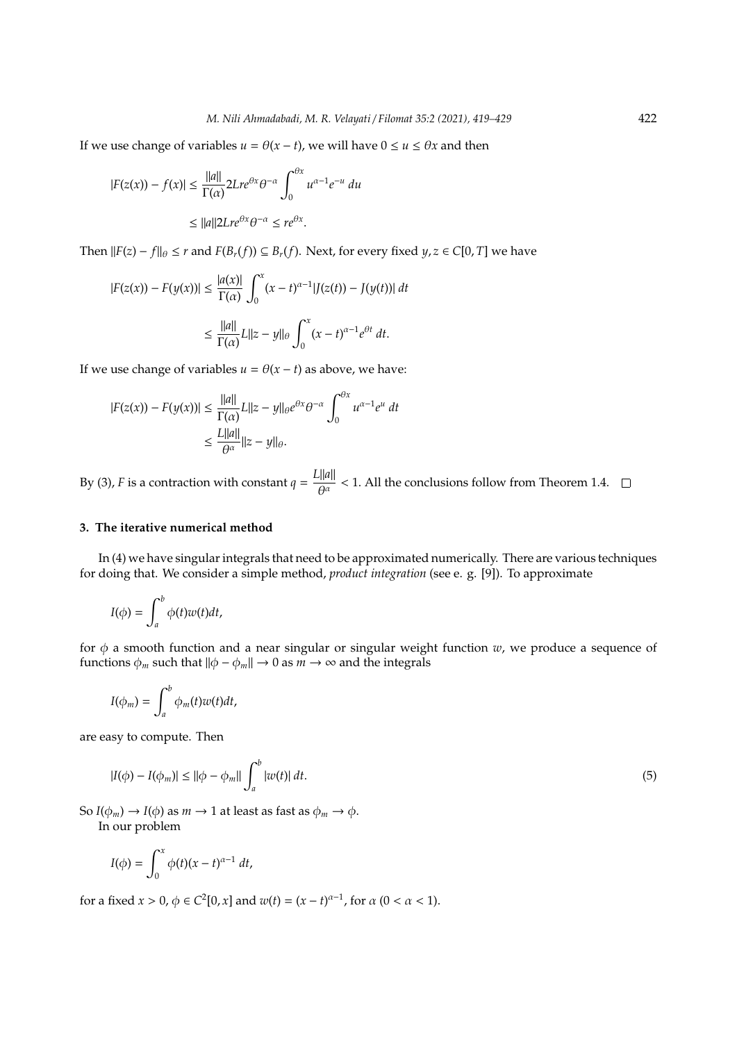If we use change of variables  $u = \theta(x - t)$ , we will have  $0 \le u \le \theta x$  and then

$$
|F(z(x)) - f(x)| \le \frac{||a||}{\Gamma(\alpha)} 2Lre^{\theta x} \theta^{-\alpha} \int_0^{\theta x} u^{\alpha-1} e^{-u} du
$$
  

$$
\le ||a|| 2Lre^{\theta x} \theta^{-\alpha} \le re^{\theta x}.
$$

*F*(*z*) − *f*| $\theta$  ≤ *r* and *F*(*B<sub><i>r*</sub>(*f*)) ⊆ *B<sub><i>r*</sub>(*f*). Next, for every fixed *y*, *z* ∈ *C*[0, *T*] we have

$$
|F(z(x)) - F(y(x))| \le \frac{|a(x)|}{\Gamma(\alpha)} \int_0^x (x - t)^{\alpha - 1} |J(z(t)) - J(y(t))| dt
$$
  

$$
\le \frac{||a||}{\Gamma(\alpha)} L ||z - y||_{\theta} \int_0^x (x - t)^{\alpha - 1} e^{\theta t} dt.
$$

If we use change of variables  $u = \theta(x - t)$  as above, we have:

$$
|F(z(x)) - F(y(x))| \le \frac{||a||}{\Gamma(\alpha)} L||z - y||_{\theta} e^{\theta x} \theta^{-\alpha} \int_0^{\theta x} u^{\alpha - 1} e^u dt
$$
  

$$
\le \frac{L||a||}{\theta^{\alpha}} ||z - y||_{\theta}.
$$

By (3), *F* is a contraction with constant  $q = \frac{L||a||}{\Delta x}$  $\frac{H^{2m}}{\theta^{\alpha}}$  < 1. All the conclusions follow from Theorem 1.4.

## **3. The iterative numerical method**

In (4) we have singular integrals that need to be approximated numerically. There are various techniques for doing that. We consider a simple method, *product integration* (see e. g. [9]). To approximate

$$
I(\phi) = \int_a^b \phi(t) w(t) dt,
$$

for φ a smooth function and a near singular or singular weight function *w*, we produce a sequence of functions  $\phi_m$  such that  $\|\phi - \phi_m\| \to 0$  as  $m \to \infty$  and the integrals

$$
I(\phi_m)=\int_a^b\phi_m(t)w(t)dt,
$$

are easy to compute. Then

$$
|I(\phi) - I(\phi_m)| \le ||\phi - \phi_m|| \int_a^b |w(t)| \, dt. \tag{5}
$$

So  $I(\phi_m) \to I(\phi)$  as  $m \to 1$  at least as fast as  $\phi_m \to \phi$ . In our problem

$$
I(\phi) = \int_0^x \phi(t)(x-t)^{\alpha-1} dt,
$$

for a fixed  $x > 0$ ,  $\phi \in C^2[0, x]$  and  $w(t) = (x - t)^{\alpha - 1}$ , for  $\alpha$  (0 <  $\alpha$  < 1).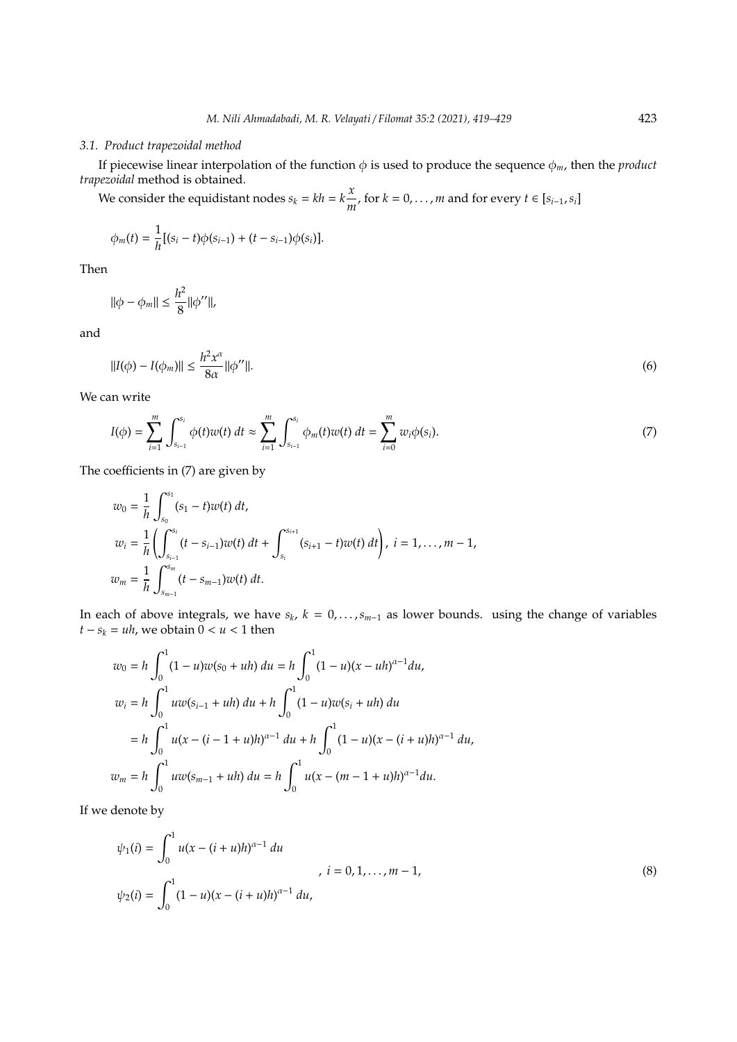#### *3.1. Product trapezoidal method*

If piecewise linear interpolation of the function  $\phi$  is used to produce the sequence  $\phi_m$ , then the *product trapezoidal* method is obtained.

We consider the equidistant nodes  $s_k = kh = k\frac{x}{k\pi}$  $\frac{x}{m}$ , for  $k = 0, \ldots, m$  and for every  $t \in [s_{i-1}, s_i]$ 

$$
\phi_m(t) = \frac{1}{h} [(s_i - t)\phi(s_{i-1}) + (t - s_{i-1})\phi(s_i)].
$$

Then

$$
\|\phi - \phi_m\| \le \frac{h^2}{8} \|\phi''\|,
$$

and

$$
||I(\phi) - I(\phi_m)|| \le \frac{h^2 x^{\alpha}}{8\alpha} ||\phi''||. \tag{6}
$$

We can write

$$
I(\phi) = \sum_{i=1}^{m} \int_{s_{i-1}}^{s_i} \phi(t) w(t) dt \approx \sum_{i=1}^{m} \int_{s_{i-1}}^{s_i} \phi_m(t) w(t) dt = \sum_{i=0}^{m} w_i \phi(s_i).
$$
 (7)

The coefficients in (7) are given by

$$
w_0 = \frac{1}{h} \int_{s_0}^{s_1} (s_1 - t) w(t) dt,
$$
  
\n
$$
w_i = \frac{1}{h} \left( \int_{s_{i-1}}^{s_i} (t - s_{i-1}) w(t) dt + \int_{s_i}^{s_{i+1}} (s_{i+1} - t) w(t) dt \right), i = 1, ..., m - 1,
$$
  
\n
$$
w_m = \frac{1}{h} \int_{s_{m-1}}^{s_m} (t - s_{m-1}) w(t) dt.
$$

In each of above integrals, we have *s<sup>k</sup>* , *k* = 0, . . . ,*sm*−<sup>1</sup> as lower bounds. using the change of variables  $t - s_k = uh$ , we obtain  $0 < u < 1$  then

$$
w_0 = h \int_0^1 (1 - u) w(s_0 + uh) du = h \int_0^1 (1 - u)(x - uh)^{\alpha - 1} du,
$$
  
\n
$$
w_i = h \int_0^1 u w(s_{i-1} + uh) du + h \int_0^1 (1 - u) w(s_i + uh) du
$$
  
\n
$$
= h \int_0^1 u(x - (i - 1 + u)h)^{\alpha - 1} du + h \int_0^1 (1 - u)(x - (i + u)h)^{\alpha - 1} du,
$$
  
\n
$$
w_m = h \int_0^1 u w(s_{m-1} + uh) du = h \int_0^1 u(x - (m - 1 + u)h)^{\alpha - 1} du.
$$

If we denote by

$$
\psi_1(i) = \int_0^1 u(x - (i + u)h)^{\alpha - 1} du
$$
\n
$$
\dot{u} = 0, 1, ..., m - 1,
$$
\n
$$
\psi_2(i) = \int_0^1 (1 - u)(x - (i + u)h)^{\alpha - 1} du,
$$
\n(8)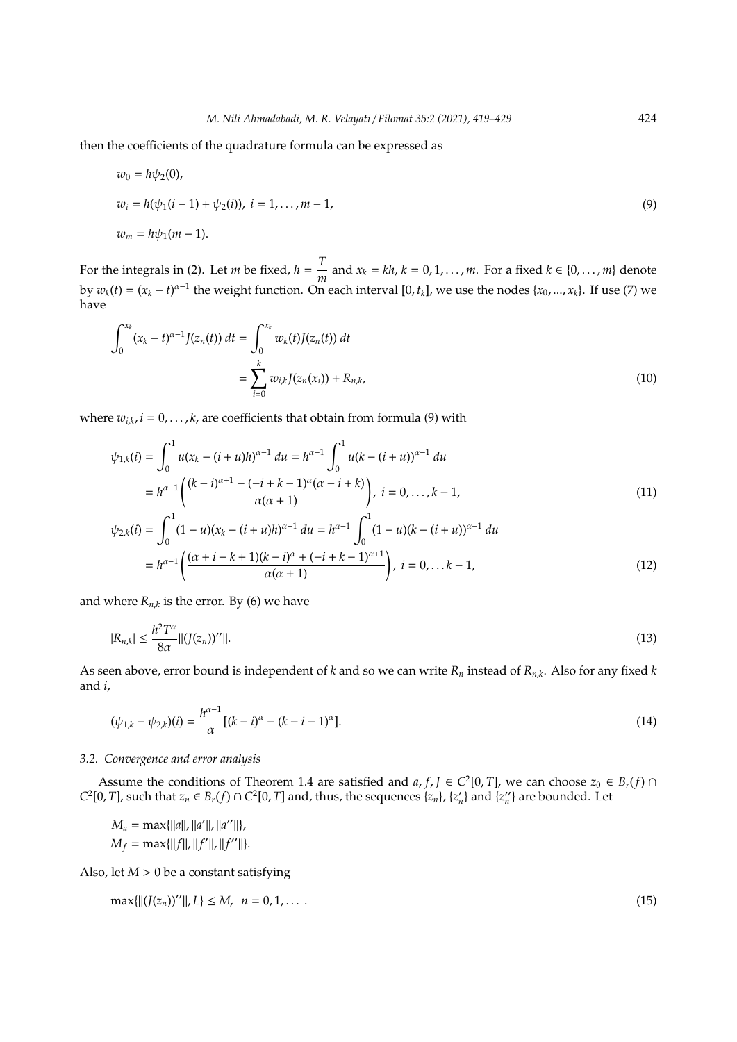then the coefficients of the quadrature formula can be expressed as

$$
w_0 = h\psi_2(0),
$$
  
\n
$$
w_i = h(\psi_1(i-1) + \psi_2(i)), \quad i = 1, ..., m-1,
$$
  
\n
$$
w_m = h\psi_1(m-1).
$$
\n(9)

For the integrals in (2). Let *m* be fixed,  $h = \frac{T}{p}$  $\frac{1}{m}$  and *x*<sup>*k*</sup> = *kh*, *k* = 0, 1, . . . , *m*. For a fixed *k* ∈ {0, . . . , *m*} denote by  $w_k(t) = (x_k - t)^{\alpha-1}$  the weight function. On each interval [0,  $t_k$ ], we use the nodes {*x*<sub>0</sub>, ..., *x*<sub>*k*</sub>}. If use (7) we have

$$
\int_0^{x_k} (x_k - t)^{\alpha - 1} J(z_n(t)) dt = \int_0^{x_k} w_k(t) J(z_n(t)) dt
$$
  
= 
$$
\sum_{i=0}^k w_{i,k} J(z_n(x_i)) + R_{n,k},
$$
 (10)

where  $w_{i,k}$ ,  $i = 0, \ldots, k$ , are coefficients that obtain from formula (9) with

$$
\psi_{1,k}(i) = \int_0^1 u(x_k - (i+u)h)^{\alpha-1} du = h^{\alpha-1} \int_0^1 u(k - (i+u))^{\alpha-1} du
$$
  
\n
$$
= h^{\alpha-1} \left( \frac{(k-i)^{\alpha+1} - (-i+k-1)^{\alpha} (\alpha-i+k)}{\alpha(\alpha+1)} \right), i = 0, ..., k-1,
$$
  
\n
$$
\psi_{2,k}(i) = \int_0^1 (1-u)(x_k - (i+u)h)^{\alpha-1} du = h^{\alpha-1} \int_0^1 (1-u)(k - (i+u))^{\alpha-1} du
$$
 (11)

$$
= h^{\alpha - 1} \left( \frac{(\alpha + i - k + 1)(k - i)^{\alpha} + (-i + k - 1)^{\alpha + 1}}{\alpha(\alpha + 1)} \right), \ i = 0, \dots k - 1,
$$
\n(12)

and where  $R_{n,k}$  is the error. By (6) we have

$$
|R_{n,k}| \le \frac{h^2 T^{\alpha}}{8\alpha} ||(J(z_n))''||. \tag{13}
$$

As seen above, error bound is independent of *k* and so we can write *R<sup>n</sup>* instead of *Rn*,*<sup>k</sup>* . Also for any fixed *k* and *i*,

$$
(\psi_{1,k} - \psi_{2,k})(i) = \frac{h^{\alpha - 1}}{\alpha} [(k - i)^{\alpha} - (k - i - 1)^{\alpha}].
$$
\n(14)

#### *3.2. Convergence and error analysis*

Assume the conditions of Theorem 1.4 are satisfied and  $a, f, J \in C^2[0, T]$ , we can choose  $z_0 \in B_r(f) \cap T$ *C*<sup>2</sup>[0, *T*], such that  $z_n \in B_r(f) \cap C^2[0, T]$  and, thus, the sequences  $\{z_n\}$ ,  $\{z'_n\}$  and  $\{z''_n\}$  are bounded. Let

 $M_a = \max{\{\|a\|, \|a'\|, \|a''\|\}},$  $M_f = \max{\{\|f\|, \|f'\|, \|f''\|\}}.$ 

Also, let *M* > 0 be a constant satisfying

$$
\max\{||(J(z_n))''||, L\} \le M, \ \ n = 0, 1, \dots \ . \tag{15}
$$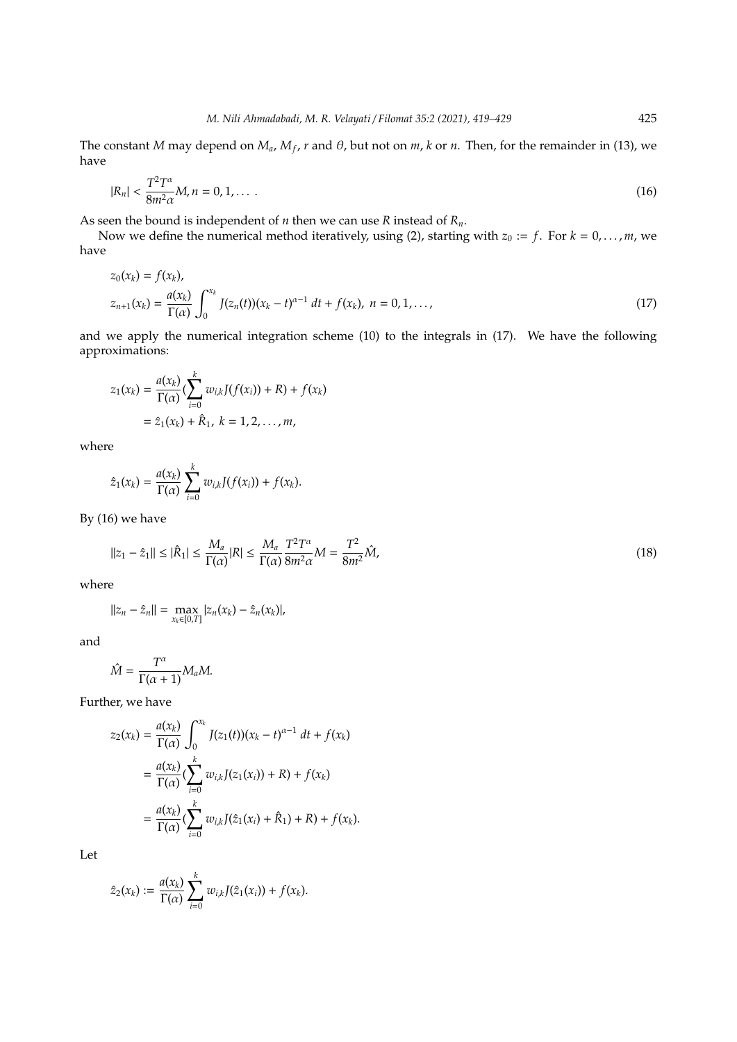The constant *M* may depend on  $M_a$ ,  $M_f$ , *r* and  $\theta$ , but not on *m*, *k* or *n*. Then, for the remainder in (13), we have

$$
|R_n| < \frac{T^2 T^\alpha}{8m^2 \alpha} M, n = 0, 1, \dots \tag{16}
$$

As seen the bound is independent of *n* then we can use *R* instead of *Rn*.

Now we define the numerical method iteratively, using (2), starting with  $z_0 := f$ . For  $k = 0, \ldots, m$ , we have

$$
z_0(x_k) = f(x_k),
$$
  
\n
$$
z_{n+1}(x_k) = \frac{a(x_k)}{\Gamma(\alpha)} \int_0^{x_k} J(z_n(t))(x_k - t)^{\alpha - 1} dt + f(x_k), \quad n = 0, 1, ...,
$$
\n(17)

and we apply the numerical integration scheme (10) to the integrals in (17). We have the following approximations:

$$
z_1(x_k) = \frac{a(x_k)}{\Gamma(\alpha)} \left( \sum_{i=0}^k w_{i,k} J(f(x_i)) + R \right) + f(x_k)
$$
  
=  $\hat{z}_1(x_k) + \hat{R}_1, k = 1, 2, ..., m,$ 

where

$$
\hat{z}_1(x_k) = \frac{a(x_k)}{\Gamma(\alpha)} \sum_{i=0}^k w_{i,k} J(f(x_i)) + f(x_k).
$$

By (16) we have

$$
||z_1 - \hat{z}_1|| \le |\hat{R}_1| \le \frac{M_a}{\Gamma(\alpha)} |R| \le \frac{M_a}{\Gamma(\alpha)} \frac{T^2 T^{\alpha}}{8m^2 \alpha} M = \frac{T^2}{8m^2} \hat{M},
$$
\n(18)

where

$$
||z_n - \hat{z}_n|| = \max_{x_k \in [0,T]} |z_n(x_k) - \hat{z}_n(x_k)|,
$$

and

$$
\hat{M} = \frac{T^{\alpha}}{\Gamma(\alpha+1)} M_a M.
$$

Further, we have

$$
z_2(x_k) = \frac{a(x_k)}{\Gamma(\alpha)} \int_0^{x_k} J(z_1(t))(x_k - t)^{\alpha - 1} dt + f(x_k)
$$
  
= 
$$
\frac{a(x_k)}{\Gamma(\alpha)} (\sum_{i=0}^k w_{i,k} J(z_1(x_i)) + R) + f(x_k)
$$
  
= 
$$
\frac{a(x_k)}{\Gamma(\alpha)} (\sum_{i=0}^k w_{i,k} J(\hat{z}_1(x_i) + \hat{R}_1) + R) + f(x_k).
$$

Let

$$
\hat{z}_2(x_k) := \frac{a(x_k)}{\Gamma(\alpha)} \sum_{i=0}^k w_{i,k} J(\hat{z}_1(x_i)) + f(x_k).
$$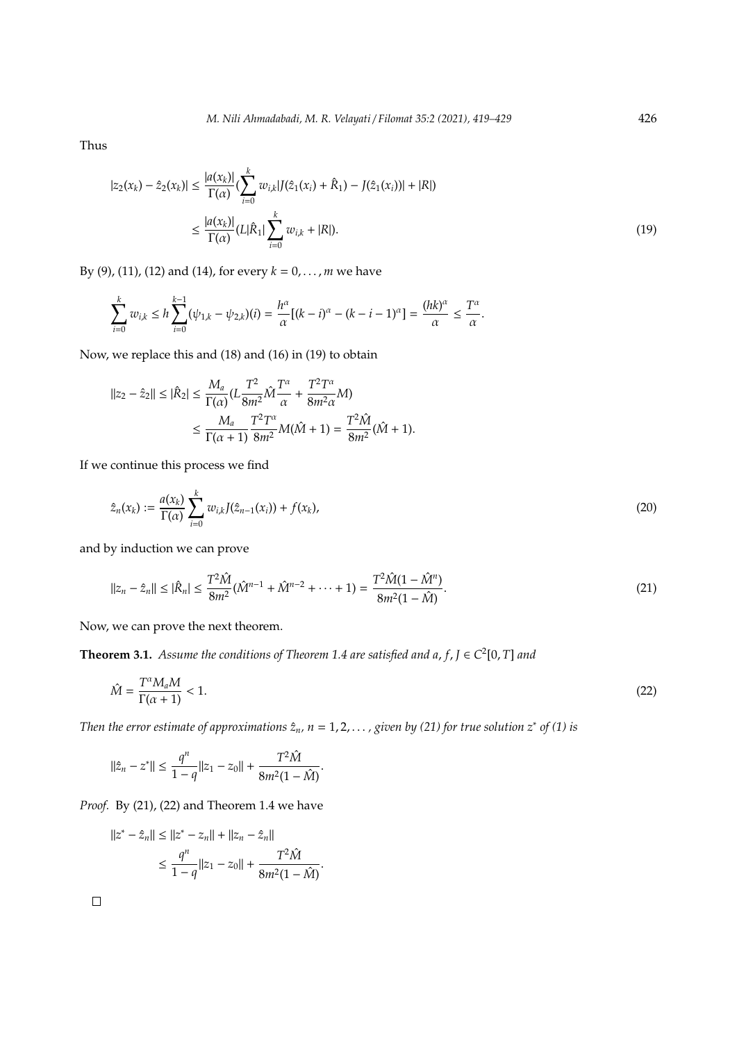Thus

$$
|z_2(x_k) - \hat{z}_2(x_k)| \le \frac{|a(x_k)|}{\Gamma(\alpha)} \left(\sum_{i=0}^k w_{i,k} |J(\hat{z}_1(x_i) + \hat{R}_1) - J(\hat{z}_1(x_i))| + |R|\right)
$$
  

$$
\le \frac{|a(x_k)|}{\Gamma(\alpha)} (L|\hat{R}_1| \sum_{i=0}^k w_{i,k} + |R|).
$$
 (19)

By (9), (11), (12) and (14), for every  $k = 0, ..., m$  we have

$$
\sum_{i=0}^k w_{i,k} \le h \sum_{i=0}^{k-1} (\psi_{1,k} - \psi_{2,k})(i) = \frac{h^{\alpha}}{\alpha} [(k-i)^{\alpha} - (k-i-1)^{\alpha}] = \frac{(hk)^{\alpha}}{\alpha} \le \frac{T^{\alpha}}{\alpha}.
$$

Now, we replace this and (18) and (16) in (19) to obtain

$$
\begin{aligned} \left| \left| z_2 - \hat{z}_2 \right| \right| &\leq \left| \hat{R}_2 \right| \leq \frac{M_a}{\Gamma(\alpha)} (L \frac{T^2}{8m^2} \hat{M} \frac{T^{\alpha}}{\alpha} + \frac{T^2 T^{\alpha}}{8m^2 \alpha} M) \\ &\leq \frac{M_a}{\Gamma(\alpha+1)} \frac{T^2 T^{\alpha}}{8m^2} M(\hat{M}+1) = \frac{T^2 \hat{M}}{8m^2} (\hat{M}+1). \end{aligned}
$$

If we continue this process we find

$$
\hat{z}_n(x_k) := \frac{a(x_k)}{\Gamma(\alpha)} \sum_{i=0}^k w_{i,k} J(\hat{z}_{n-1}(x_i)) + f(x_k), \tag{20}
$$

and by induction we can prove

$$
||z_n - \hat{z}_n|| \le |\hat{R}_n| \le \frac{T^2 \hat{M}}{8m^2} (\hat{M}^{n-1} + \hat{M}^{n-2} + \dots + 1) = \frac{T^2 \hat{M} (1 - \hat{M}^n)}{8m^2 (1 - \hat{M})}.
$$
\n(21)

Now, we can prove the next theorem.

**Theorem 3.1.** *Assume the conditions of Theorem 1.4 are satisfied and a,*  $f$ *,*  $J \in C^2[0, T]$  *and* 

$$
\hat{M} = \frac{T^{\alpha} M_a M}{\Gamma(\alpha + 1)} < 1. \tag{22}
$$

*Then the error estimate of approximations*  $\hat{z}_n$ ,  $n = 1, 2, \ldots$ , given by (21) for true solution  $z^*$  of (1) is

.

$$
\|\hat{z}_n - z^*\| \le \frac{q^n}{1-q} \|z_1 - z_0\| + \frac{T^2 \hat{M}}{8m^2(1-\hat{M})}.
$$

*Proof.* By (21), (22) and Theorem 1.4 we have

$$
||z^* - \hat{z}_n|| \le ||z^* - z_n|| + ||z_n - \hat{z}_n||
$$
  

$$
\le \frac{q^n}{1 - q} ||z_1 - z_0|| + \frac{T^2 \hat{M}}{8m^2(1 - \hat{M})}
$$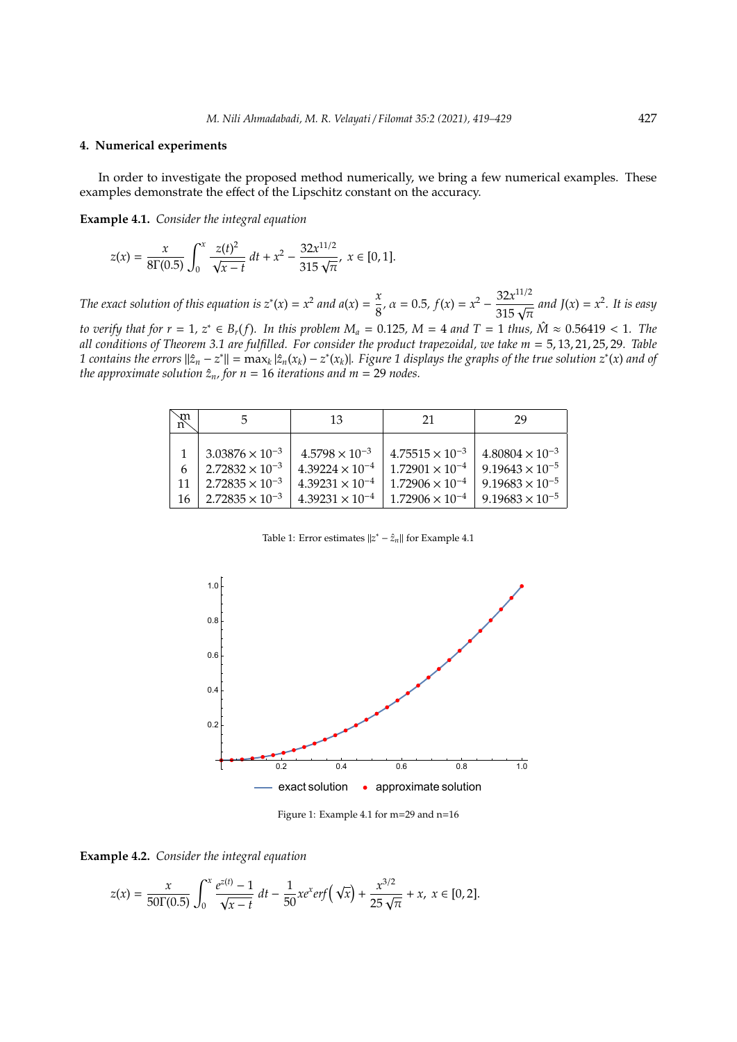#### **4. Numerical experiments**

In order to investigate the proposed method numerically, we bring a few numerical examples. These examples demonstrate the effect of the Lipschitz constant on the accuracy.

**Example 4.1.** *Consider the integral equation*

$$
z(x) = \frac{x}{8\Gamma(0.5)} \int_0^x \frac{z(t)^2}{\sqrt{x-t}} dt + x^2 - \frac{32x^{11/2}}{315\sqrt{\pi}}, \ x \in [0, 1].
$$

*The exact solution of this equation is*  $z^*(x) = x^2$  *and a*(*x*) =  $\frac{x^2}{8}$  $\frac{x}{8}$ ,  $\alpha = 0.5$ ,  $f(x) = x^2 - \frac{32x^{11/2}}{315\sqrt{\pi}}$  and  $J(x) = x^2$ . It is easy *to verify that for r* = 1,  $z^*$  ∈  $B_r(f)$ *. In this problem*  $M_a = 0.125$ *,*  $M = 4$  *and*  $T = 1$  *thus,*  $\hat{M} \approx 0.56419$  < 1*. The all conditions of Theorem 3.1 are fulfilled. For consider the product trapezoidal, we take m* = 5, 13, 21, 25, 29*. Table* 1 contains the errors  $||\hat{z}_n - z^*|| = \max_k |\hat{z}_n(x_k) - z^*(x_k)|$ . Figure 1 displays the graphs of the true solution  $z^*(x)$  and of *the approximate solution*  $\hat{z}_n$ *, for*  $n = 16$  *iterations and*  $m = 29$  *nodes.* 

| $\mathfrak{m}$ |                                                                                                              | 13                                                                                                          | 21                                                                                                           | 29                                                                                                           |
|----------------|--------------------------------------------------------------------------------------------------------------|-------------------------------------------------------------------------------------------------------------|--------------------------------------------------------------------------------------------------------------|--------------------------------------------------------------------------------------------------------------|
| 6<br>11<br>16  | $3.03876 \times 10^{-3}$<br>$2.72832 \times 10^{-3}$<br>$2.72835 \times 10^{-3}$<br>$2.72835 \times 10^{-3}$ | $4.5798 \times 10^{-3}$<br>$4.39224 \times 10^{-4}$<br>$4.39231 \times 10^{-4}$<br>$4.39231 \times 10^{-4}$ | $4.75515 \times 10^{-3}$<br>$1.72901 \times 10^{-4}$<br>$1.72906 \times 10^{-4}$<br>$1.72906 \times 10^{-4}$ | $4.80804 \times 10^{-3}$<br>$9.19643 \times 10^{-5}$<br>$9.19683 \times 10^{-5}$<br>$9.19683 \times 10^{-5}$ |

Table 1: Error estimates  $||z^* - \hat{z}_n||$  for Example 4.1



Figure 1: Example 4.1 for m=29 and n=16



$$
z(x)=\frac{x}{50\Gamma(0.5)}\int_0^x\frac{e^{z(t)}-1}{\sqrt{x-t}}\ dt-\frac{1}{50}xe^xerf\left(\sqrt{x}\right)+\frac{x^{3/2}}{25\sqrt{\pi}}+x,\ x\in[0,2].
$$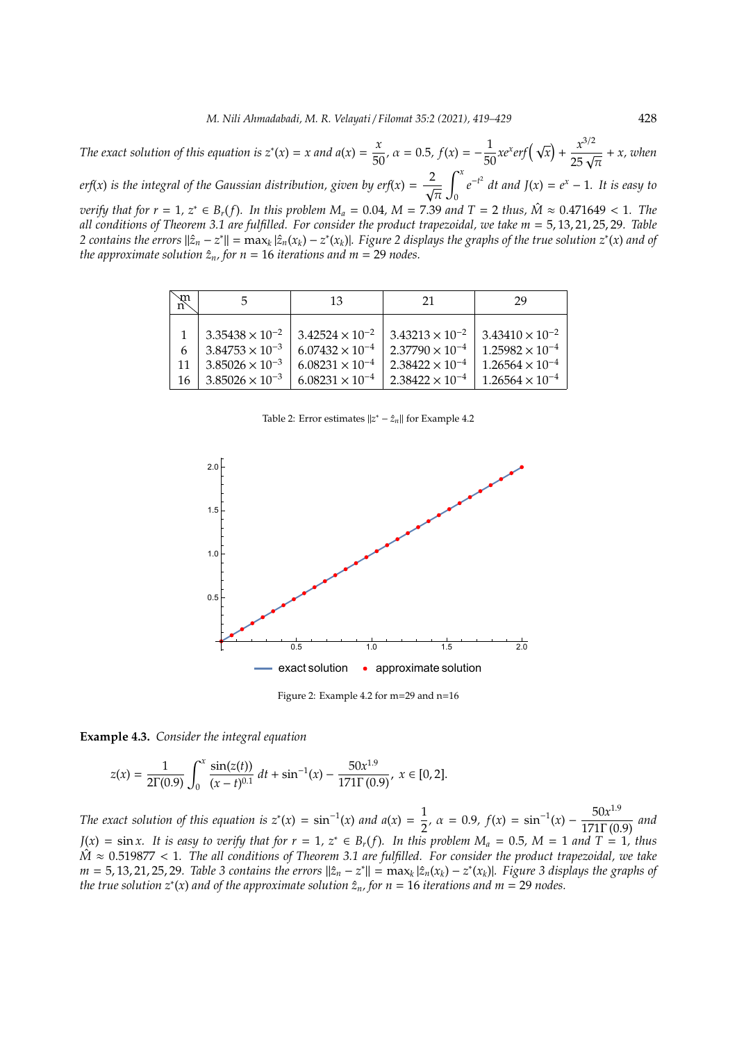*The exact solution of this equation is*  $z^*(x) = x$  *and*  $a(x) = \frac{x}{50}$ ,  $\alpha = 0.5$ ,  $f(x) = -\frac{1}{50}xe^xerf(\sqrt{x}) + \frac{x^{3/2}}{25\sqrt{\pi}} + x$ , when  $\int_0^x$ 

*erf*(*x*) *is the integral of the Gaussian distribution, given by erf*(*x*) =  $\frac{2}{\sqrt{2}}$ π  $\mathbf 0$  $e^{-t^2}$  *dt and*  $J(x) = e^x - 1$ *. It is easy to* 

*verify that for r* = 1,  $z^*$  ∈  $B_r(f)$ *. In this problem*  $M_a = 0.04$ *, M* = 7.39 *and*  $T = 2$  *thus,*  $\hat{M} \approx 0.471649$  < 1*. The all conditions of Theorem 3.1 are fulfilled. For consider the product trapezoidal, we take m* = 5, 13, 21, 25, 29*. Table* 2 contains the errors  $||\hat{z}_n - z^*|| = \max_k |\hat{z}_n(x_k) - z^*(x_k)|$ . Figure 2 displays the graphs of the true solution  $z^*(x)$  and of *the approximate solution*  $\hat{z}_n$ *, for*  $n = 16$  *iterations and*  $m = 29$  *nodes.* 

| $\mathbb{R}$ |                          | 13                       | 21                       | 29                       |
|--------------|--------------------------|--------------------------|--------------------------|--------------------------|
|              | $3.35438 \times 10^{-2}$ | $3.42524 \times 10^{-2}$ | $3.43213 \times 10^{-2}$ | $3.43410 \times 10^{-2}$ |
|              | $3.84753 \times 10^{-3}$ | $6.07432 \times 10^{-4}$ | $2.37790 \times 10^{-4}$ | $1.25982 \times 10^{-4}$ |
| 11           | $3.85026 \times 10^{-3}$ | $6.08231 \times 10^{-4}$ | $2.38422 \times 10^{-4}$ | $1.26564 \times 10^{-4}$ |
| -16          | $3.85026 \times 10^{-3}$ | $6.08231 \times 10^{-4}$ | $2.38422 \times 10^{-4}$ | $1.26564 \times 10^{-4}$ |

Table 2: Error estimates  $||z^* - \hat{z}_n||$  for Example 4.2



Figure 2: Example 4.2 for m=29 and n=16

**Example 4.3.** *Consider the integral equation*

$$
z(x) = \frac{1}{2\Gamma(0.9)} \int_0^x \frac{\sin(z(t))}{(x-t)^{0.1}} dt + \sin^{-1}(x) - \frac{50x^{1.9}}{171\Gamma(0.9)}, \ x \in [0, 2].
$$

*The exact solution of this equation is*  $z^*(x) = \sin^{-1}(x)$  *and*  $a(x) = \frac{1}{2}$  $\frac{1}{2}$ ,  $\alpha = 0.9$ ,  $f(x) = \sin^{-1}(x) - \frac{50x^{1.9}}{171\Gamma(0.1)}$ 171Γ (0.9) *and J*(*x*) = sin *x*. It is easy to verify that for  $r = 1$ ,  $z^* ∈ B_r(f)$ . In this problem  $M_a = 0.5$ ,  $M = 1$  and  $T = 1$ , thus  $\hat{M} \approx 0.519877 < 1$ . The all conditions of Theorem 3.1 are fulfilled. For consider the product trapezoidal, we take  $m = 5, 13, 21, 25, 29$ . Table 3 contains the errors  $||\hat{z}_n - z^*|| = \max_k |\hat{z}_n(x_k) - z^*(x_k)|$ . Figure 3 displays the graphs of *the true solution*  $z^*(x)$  *and of the approximate solution*  $\hat{z}_n$ , for  $n = 16$  *iterations and*  $m = 29$  *nodes.*